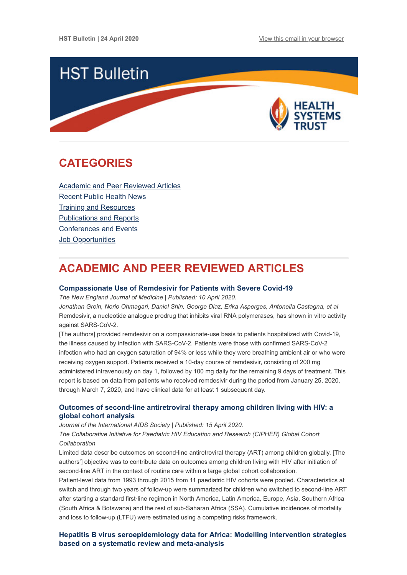

# <span id="page-0-1"></span>**CATEGORIES**

[Academic and Peer Reviewed Articles](#page-0-0) [Recent Public Health News](#page-2-0) [Training and Resources](#page-3-0) [Publications and Reports](#page-3-1) [Conferences and Events](#page-3-2) **Job Opportunities** 

# <span id="page-0-0"></span>**ACADEMIC AND PEER REVIEWED ARTICLES**

### **[Compassionate Use of Remdesivir for Patients with Severe Covid-19](https://www.nejm.org/doi/full/10.1056/NEJMoa2007016?query=RP)**

*The New England Journal of Medicine | Published: 10 April 2020.*

*Jonathan Grein, Norio Ohmagari, Daniel Shin, George Diaz, Erika Asperges, Antonella Castagna, et al* Remdesivir, a nucleotide analogue prodrug that inhibits viral RNA polymerases, has shown in vitro activity against SARS-CoV-2.

[The authors] provided remdesivir on a compassionate-use basis to patients hospitalized with Covid-19, the illness caused by infection with SARS-CoV-2. Patients were those with confirmed SARS-CoV-2 infection who had an oxygen saturation of 94% or less while they were breathing ambient air or who were receiving oxygen support. Patients received a 10-day course of remdesivir, consisting of 200 mg administered intravenously on day 1, followed by 100 mg daily for the remaining 9 days of treatment. This report is based on data from patients who received remdesivir during the period from January 25, 2020, through March 7, 2020, and have clinical data for at least 1 subsequent day.

# **Outcomes of second**‐**[line antiretroviral therapy among children living with HIV: a](https://onlinelibrary.wiley.com/doi/full/10.1002/jia2.25477) global cohort analysis**

*Journal of the International AIDS Society | Published: 15 April 2020.*

*The Collaborative Initiative for Paediatric HIV Education and Research (CIPHER) Global Cohort Collaboration*

Limited data describe outcomes on second‐line antiretroviral therapy (ART) among children globally. [The authors'] objective was to contribute data on outcomes among children living with HIV after initiation of second-line ART in the context of routine care within a large global cohort collaboration.

Patient‐level data from 1993 through 2015 from 11 paediatric HIV cohorts were pooled. Characteristics at switch and through two years of follow-up were summarized for children who switched to second-line ART after starting a standard first‐line regimen in North America, Latin America, Europe, Asia, Southern Africa (South Africa & Botswana) and the rest of sub‐Saharan Africa (SSA). Cumulative incidences of mortality and loss to follow‐up (LTFU) were estimated using a competing risks framework.

# **[Hepatitis B virus seroepidemiology data for Africa: Modelling intervention strategies](https://journals.plos.org/plosmedicine/article?id=10.1371/journal.pmed.1003068) based on a systematic review and meta-analysis**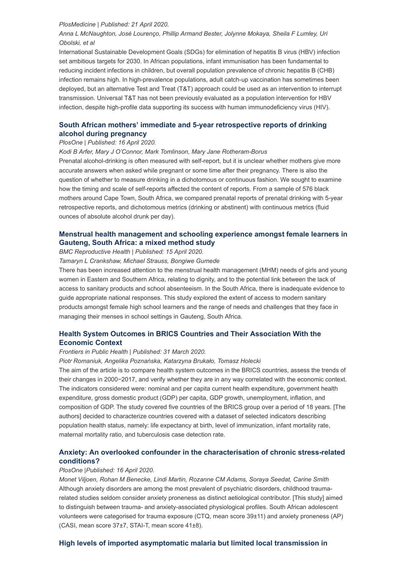#### *PlosMedicine | Published: 21 April 2020.*

## *Anna L McNaughton, José Lourenço, Phillip Armand Bester, Jolynne Mokaya, Sheila F Lumley, Uri Obolski, et al*

International Sustainable Development Goals (SDGs) for elimination of hepatitis B virus (HBV) infection set ambitious targets for 2030. In African populations, infant immunisation has been fundamental to reducing incident infections in children, but overall population prevalence of chronic hepatitis B (CHB) infection remains high. In high-prevalence populations, adult catch-up vaccination has sometimes been deployed, but an alternative Test and Treat (T&T) approach could be used as an intervention to interrupt transmission. Universal T&T has not been previously evaluated as a population intervention for HBV infection, despite high-profile data supporting its success with human immunodeficiency virus (HIV).

# **[South African mothers' immediate and 5-year retrospective reports of drinking](https://journals.plos.org/plosone/article?id=10.1371/journal.pone.0231518) alcohol during pregnancy**

#### *PlosOne | Published: 16 April 2020.*

*Kodi B Arfer, Mary J O'Connor, Mark Tomlinson, Mary Jane Rotheram-Borus*

Prenatal alcohol-drinking is often measured with self-report, but it is unclear whether mothers give more accurate answers when asked while pregnant or some time after their pregnancy. There is also the question of whether to measure drinking in a dichotomous or continuous fashion. We sought to examine how the timing and scale of self-reports affected the content of reports. From a sample of 576 black mothers around Cape Town, South Africa, we compared prenatal reports of prenatal drinking with 5-year retrospective reports, and dichotomous metrics (drinking or abstinent) with continuous metrics (fluid ounces of absolute alcohol drunk per day).

## **[Menstrual health management and schooling experience amongst female learners in](https://reproductive-health-journal.biomedcentral.com/articles/10.1186/s12978-020-0896-1) Gauteng, South Africa: a mixed method study**

#### *BMC Reproductive Health | Published: 15 April 2020.*

*Tamaryn L Crankshaw, Michael Strauss, Bongiwe Gumede*

There has been increased attention to the menstrual health management (MHM) needs of girls and young women in Eastern and Southern Africa, relating to dignity, and to the potential link between the lack of access to sanitary products and school absenteeism. In the South Africa, there is inadequate evidence to guide appropriate national responses. This study explored the extent of access to modern sanitary products amongst female high school learners and the range of needs and challenges that they face in managing their menses in school settings in Gauteng, South Africa.

# **[Health System Outcomes in BRICS Countries and Their Association With the](https://www.frontiersin.org/articles/10.3389/fpubh.2020.00080/full) Economic Context**

#### *Frontiers in Public Health | Published: 31 March 2020.*

*Piotr Romaniuk, Angelika Poznańska, Katarzyna Brukało, Tomasz Holecki*

The aim of the article is to compare health system outcomes in the BRICS countries, assess the trends of their changes in 2000−2017, and verify whether they are in any way correlated with the economic context. The indicators considered were: nominal and per capita current health expenditure, government health expenditure, gross domestic product (GDP) per capita, GDP growth, unemployment, inflation, and composition of GDP. The study covered five countries of the BRICS group over a period of 18 years. [The authors] decided to characterize countries covered with a dataset of selected indicators describing population health status, namely: life expectancy at birth, level of immunization, infant mortality rate, maternal mortality ratio, and tuberculosis case detection rate.

## **[Anxiety: An overlooked confounder in the characterisation of chronic stress-related](https://journals.plos.org/plosone/article?id=10.1371/journal.pone.0230053) conditions?**

#### *PlosOne |Published: 16 April 2020.*

*Monet Viljoen, Rohan M Benecke, Lindi Martin, Rozanne CM Adams, Soraya Seedat, Carine Smith* Although anxiety disorders are among the most prevalent of psychiatric disorders, childhood traumarelated studies seldom consider anxiety proneness as distinct aetiological contributor. [This study] aimed to distinguish between trauma- and anxiety-associated physiological profiles. South African adolescent volunteers were categorised for trauma exposure (CTQ, mean score 39±11) and anxiety proneness (AP) (CASI, mean score 37±7, STAI-T, mean score 41±8).

### **[High levels of imported asymptomatic malaria but limited local transmission in](https://malariajournal.biomedcentral.com/articles/10.1186/s12936-020-03227-3)**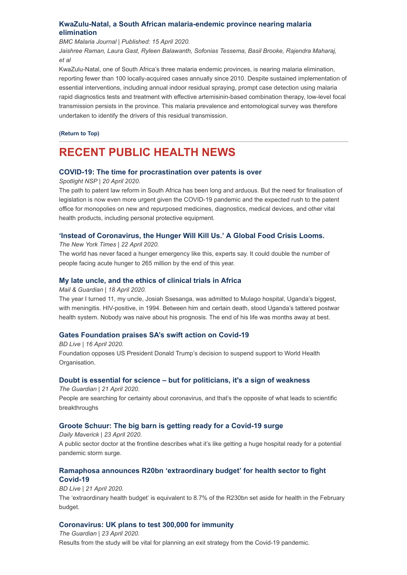## **[KwaZulu-Natal, a South African malaria-endemic province nearing malaria](https://malariajournal.biomedcentral.com/articles/10.1186/s12936-020-03227-3) elimination**

*BMC Malaria Journal | Published: 15 April 2020.*

*Jaishree Raman, Laura Gast, Ryleen Balawanth, Sofonias Tessema, Basil Brooke, Rajendra Maharaj, et al*

KwaZulu-Natal, one of South Africa's three malaria endemic provinces, is nearing malaria elimination, reporting fewer than 100 locally-acquired cases annually since 2010. Despite sustained implementation of essential interventions, including annual indoor residual spraying, prompt case detection using malaria rapid diagnostics tests and treatment with effective artemisinin-based combination therapy, low-level focal transmission persists in the province. This malaria prevalence and entomological survey was therefore undertaken to identify the drivers of this residual transmission.

**[\(Return to Top\)](#page-0-1)**

# <span id="page-2-0"></span>**RECENT PUBLIC HEALTH NEWS**

## **[COVID-19: The time for procrastination over patents is over](https://www.spotlightnsp.co.za/2020/04/20/covid-19-the-time-for-procrastination-over-patents-is-over/)**

### *Spotlight NSP | 20 April 2020.*

The path to patent law reform in South Africa has been long and arduous. But the need for finalisation of legislation is now even more urgent given the COVID-19 pandemic and the expected rush to the patent office for monopolies on new and repurposed medicines, diagnostics, medical devices, and other vital health products, including personal protective equipment.

## **['Instead of Coronavirus, the Hunger Will Kill Us.' A Global Food Crisis Looms.](https://www.nytimes.com/2020/04/22/world/africa/coronavirus-hunger-crisis.html?smid=tw-share)**

*The New York Times | 22 April 2020.*

The world has never faced a hunger emergency like this, experts say. It could double the number of people facing acute hunger to 265 million by the end of this year.

## **[My late uncle, and the ethics of clinical trials in Africa](https://mg.co.za/article/2020-04-18-my-late-uncle-and-the-ethics-of-clinical-trials-in-africa/)**

#### *Mail & Guardian | 18 April 2020.*

The year I turned 11, my uncle, Josiah Ssesanga, was admitted to Mulago hospital, Uganda's biggest, with meningitis. HIV-positive, in 1994. Between him and certain death, stood Uganda's tattered postwar health system. Nobody was naive about his prognosis. The end of his life was months away at best.

### **[Gates Foundation praises SA's swift action on Covid-19](https://www.businesslive.co.za/bd/national/health/2020-04-16-gates-foundation-praises-sas-swift-action-on-covid-19/)**

*BD Live | 16 April 2020.* Foundation opposes US President Donald Trump's decision to suspend support to World Health Organisation.

## **[Doubt is essential for science – but for politicians, it's a sign of weakness](https://www.theguardian.com/commentisfree/2020/apr/21/doubt-essential-science-politicians-coronavirus)**

*The Guardian | 21 April 2020.* People are searching for certainty about coronavirus, and that's the opposite of what leads to scientific breakthroughs

## **[Groote Schuur: The big barn is getting ready for a Covid-19 surge](https://www.dailymaverick.co.za/article/2020-04-23-groote-schuur-the-big-barn-is-getting-ready-for-a-covid-19-surge/)**

*Daily Maverick | 23 April 2020.* A public sector doctor at the frontline describes what it's like getting a huge hospital ready for a potential pandemic storm surge.

# **[Ramaphosa announces R20bn 'extraordinary budget' for health sector to fight](https://www.businesslive.co.za/bd/national/health/2020-04-21-ramaphosa-announces-r20bn-extraordinary-budget-for-health-sector-to-fight-covid-19/) Covid-19**

*BD Live | 21 April 2020.*

The 'extraordinary health budget' is equivalent to 8.7% of the R230bn set aside for health in the February budget.

## **[Coronavirus: UK plans to test 300,000 for immunity](https://www.theguardian.com/world/2020/apr/23/uk-plans-to-test-300000-for-immunity-to-coronavirus)**

*The Guardian | 23 April 2020.* Results from the study will be vital for planning an exit strategy from the Covid-19 pandemic.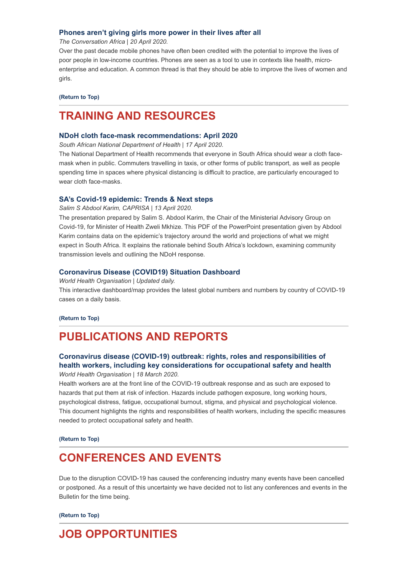#### **[Phones aren't giving girls more power in their lives after all](https://theconversation.com/phones-arent-giving-girls-more-power-in-their-lives-after-all-121286?utm_medium=Social&utm_source=Twitter#Echobox=1587464432)**

*The Conversation Africa | 20 April 2020.*

Over the past decade mobile phones have often been credited with the potential to improve the lives of poor people in low-income countries. Phones are seen as a tool to use in contexts like health, microenterprise and education. A common thread is that they should be able to improve the lives of women and girls.

#### **[\(Return to Top\)](#page-0-1)**

# <span id="page-3-0"></span>**TRAINING AND RESOURCES**

#### **[NDoH cloth face-mask recommendations: April 2020](https://www.hst.org.za/Covid19/Documents/NDoH%20cloth%20face-mask%20recommendations%20April%202020.pdf)**

*South African National Department of Health | 17 April 2020.*

The National Department of Health recommends that everyone in South Africa should wear a cloth facemask when in public. Commuters travelling in taxis, or other forms of public transport, as well as people spending time in spaces where physical distancing is difficult to practice, are particularly encouraged to wear cloth face-masks.

### **[SA's Covid-19 epidemic: Trends & Next steps](https://www.hst.org.za/Covid19/Documents/PresentationSAsCOVID-19epidemic13April2020.pdf)**

*Salim S Abdool Karim, CAPRISA | 13 April 2020.*

The presentation prepared by Salim S. Abdool Karim, the Chair of the Ministerial Advisory Group on Covid-19, for Minister of Health Zweli Mkhize. This PDF of the PowerPoint presentation given by Abdool Karim contains data on the epidemic's trajectory around the world and projections of what we might expect in South Africa. It explains the rationale behind South Africa's lockdown, examining community transmission levels and outlining the NDoH response.

### **[Coronavirus Disease \(COVID19\) Situation Dashboard](https://covid19.who.int/)**

*World Health Organisation | Updated daily.* This interactive dashboard/map provides the latest global numbers and numbers by country of COVID-19 cases on a daily basis.

### **[\(Return to Top\)](#page-0-1)**

# <span id="page-3-1"></span>**PUBLICATIONS AND REPORTS**

## **Coronavirus disease (COVID-19) outbreak: rights, roles and responsibilities of [health workers, including key considerations for occupational safety and health](https://www.who.int/publications-detail/coronavirus-disease-(covid-19)-outbreak-rights-roles-and-responsibilities-of-health-workers-including-key-considerations-for-occupational-safety-and-health)** *World Health Organisation | 18 March 2020.*

Health workers are at the front line of the COVID-19 outbreak response and as such are exposed to hazards that put them at risk of infection. Hazards include pathogen exposure, long working hours, psychological distress, fatigue, occupational burnout, stigma, and physical and psychological violence. This document highlights the rights and responsibilities of health workers, including the specific measures needed to protect occupational safety and health.

#### **[\(Return to Top\)](#page-0-1)**

# <span id="page-3-2"></span>**CONFERENCES AND EVENTS**

Due to the disruption COVID-19 has caused the conferencing industry many events have been cancelled or postponed. As a result of this uncertainty we have decided not to list any conferences and events in the Bulletin for the time being.

**[\(Return to Top\)](#page-0-1)**

# **JOB OPPORTUNITIES**